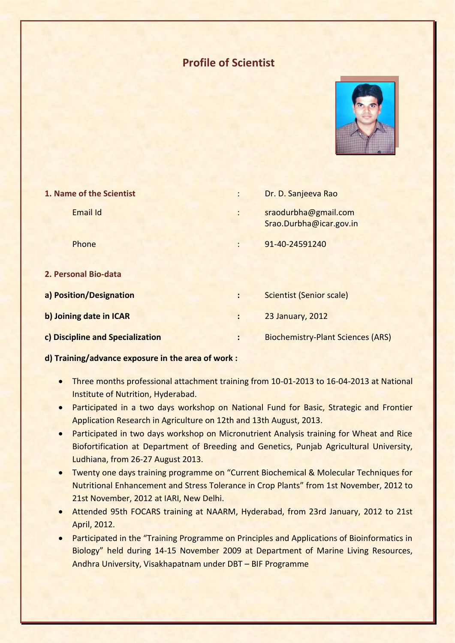# **Profile of Scientist**



| 1. Name of the Scientist         |                | Dr. D. Sanjeeva Rao                             |
|----------------------------------|----------------|-------------------------------------------------|
| <b>Email Id</b>                  | $\ddot{\cdot}$ | sraodurbha@gmail.com<br>Srao.Durbha@icar.gov.in |
| Phone                            |                | 91-40-24591240                                  |
| 2. Personal Bio-data             |                |                                                 |
| a) Position/Designation          | $\ddot{\cdot}$ | <b>Scientist (Senior scale)</b>                 |
| b) Joining date in ICAR          | $\ddot{\cdot}$ | 23 January, 2012                                |
| c) Discipline and Specialization | $\ddot{\cdot}$ | <b>Biochemistry-Plant Sciences (ARS)</b>        |

### **d) Training/advance exposure in the area of work :**

- Three months professional attachment training from 10-01-2013 to 16-04-2013 at National Institute of Nutrition, Hyderabad.
- Participated in a two days workshop on National Fund for Basic, Strategic and Frontier Application Research in Agriculture on 12th and 13th August, 2013.
- Participated in two days workshop on Micronutrient Analysis training for Wheat and Rice Biofortification at Department of Breeding and Genetics, Punjab Agricultural University, Ludhiana, from 26-27 August 2013.
- Twenty one days training programme on "Current Biochemical & Molecular Techniques for Nutritional Enhancement and Stress Tolerance in Crop Plants" from 1st November, 2012 to 21st November, 2012 at IARI, New Delhi.
- Attended 95th FOCARS training at NAARM, Hyderabad, from 23rd January, 2012 to 21st April, 2012.
- Participated in the "Training Programme on Principles and Applications of Bioinformatics in Biology" held during 14-15 November 2009 at Department of Marine Living Resources, Andhra University, Visakhapatnam under DBT – BIF Programme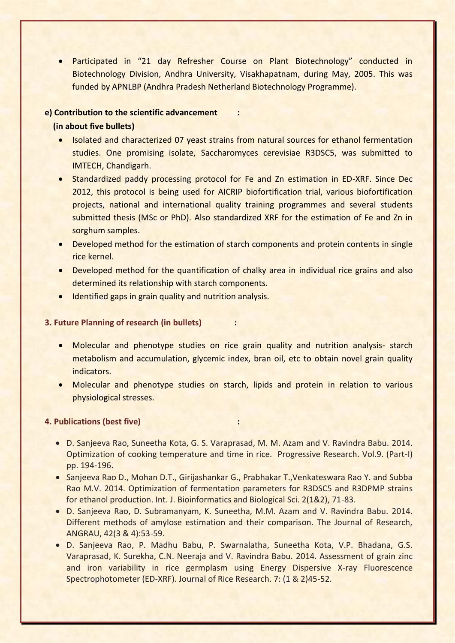Participated in "21 day Refresher Course on Plant Biotechnology" conducted in Biotechnology Division, Andhra University, Visakhapatnam, during May, 2005. This was funded by APNLBP (Andhra Pradesh Netherland Biotechnology Programme).

# **e) Contribution to the scientific advancement :**

#### **(in about five bullets)**

- Isolated and characterized 07 yeast strains from natural sources for ethanol fermentation studies. One promising isolate, Saccharomyces cerevisiae R3DSC5, was submitted to IMTECH, Chandigarh.
- Standardized paddy processing protocol for Fe and Zn estimation in ED-XRF. Since Dec 2012, this protocol is being used for AICRIP biofortification trial, various biofortification projects, national and international quality training programmes and several students submitted thesis (MSc or PhD). Also standardized XRF for the estimation of Fe and Zn in sorghum samples.
- Developed method for the estimation of starch components and protein contents in single rice kernel.
- Developed method for the quantification of chalky area in individual rice grains and also determined its relationship with starch components.
- Identified gaps in grain quality and nutrition analysis.

#### **3. Future Planning of research (in bullets) :**

- Molecular and phenotype studies on rice grain quality and nutrition analysis- starch metabolism and accumulation, glycemic index, bran oil, etc to obtain novel grain quality indicators.
- Molecular and phenotype studies on starch, lipids and protein in relation to various physiological stresses.

#### **4. Publications (best five) :**

- D. Sanjeeva Rao, Suneetha Kota, G. S. Varaprasad, M. M. Azam and V. Ravindra Babu. 2014. Optimization of cooking temperature and time in rice. Progressive Research. Vol.9. (Part-I) pp. 194-196.
- Sanjeeva Rao D., Mohan D.T., Girijashankar G., Prabhakar T., Venkateswara Rao Y. and Subba Rao M.V. 2014. Optimization of fermentation parameters for R3DSC5 and R3DPMP strains for ethanol production. Int. J. Bioinformatics and Biological Sci. 2(1&2), 71-83.
- D. Sanjeeva Rao, D. Subramanyam, K. Suneetha, M.M. Azam and V. Ravindra Babu. 2014. Different methods of amylose estimation and their comparison. The Journal of Research, ANGRAU, 42(3 & 4):53-59.
- D. Sanjeeva Rao, P. Madhu Babu, P. Swarnalatha, Suneetha Kota, V.P. Bhadana, G.S. Varaprasad, K. Surekha, C.N. Neeraja and V. Ravindra Babu. 2014. Assessment of grain zinc and iron variability in rice germplasm using Energy Dispersive X-ray Fluorescence Spectrophotometer (ED-XRF). Journal of Rice Research. 7: (1 & 2)45-52.